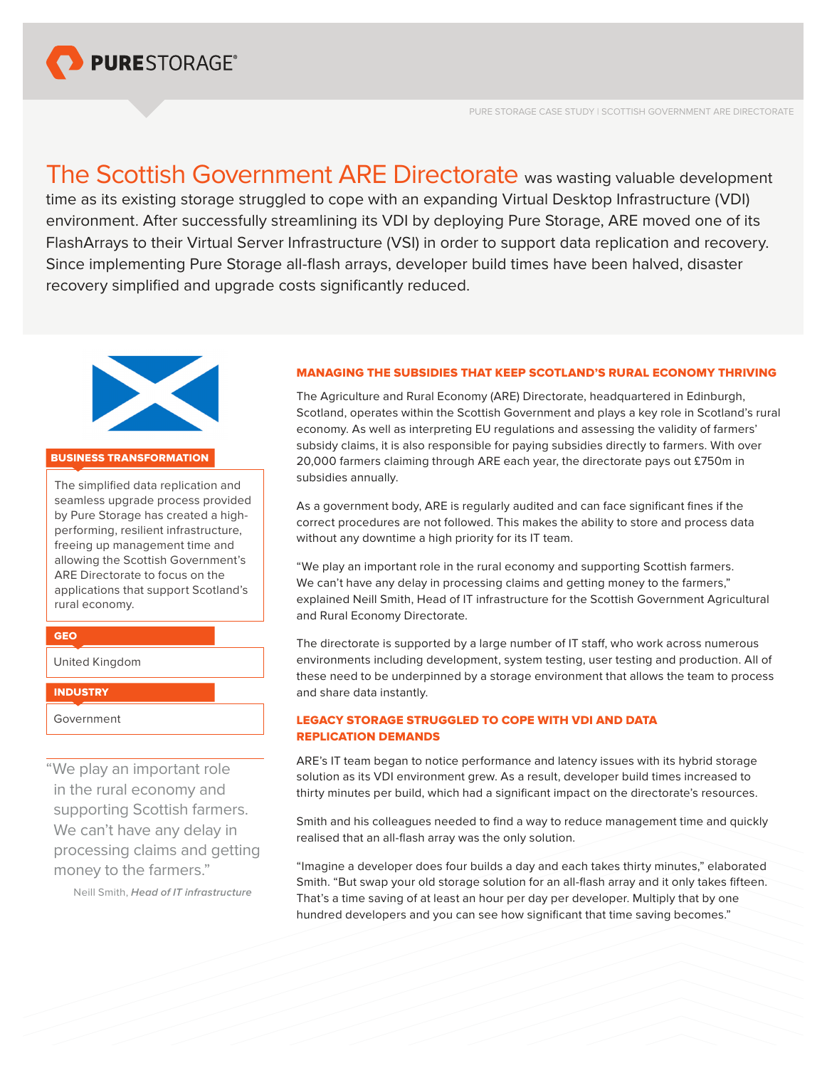

The Scottish Government ARE Directorate was wasting valuable development time as its existing storage struggled to cope with an expanding Virtual Desktop Infrastructure (VDI) environment. After successfully streamlining its VDI by deploying Pure Storage, ARE moved one of its FlashArrays to their Virtual Server Infrastructure (VSI) in order to support data replication and recovery. Since implementing Pure Storage all-flash arrays, developer build times have been halved, disaster recovery simplified and upgrade costs significantly reduced.



### BUSINESS TRANSFORMATION

The simplified data replication and seamless upgrade process provided by Pure Storage has created a highperforming, resilient infrastructure, freeing up management time and allowing the Scottish Government's ARE Directorate to focus on the applications that support Scotland's rural economy.

## GEO

United Kingdom

#### **INDUSTRY**

Government

"We play an important role in the rural economy and supporting Scottish farmers. We can't have any delay in processing claims and getting money to the farmers."

Neill Smith, *Head of IT infrastructure*

### MANAGING THE SUBSIDIES THAT KEEP SCOTLAND'S RURAL ECONOMY THRIVING

The Agriculture and Rural Economy (ARE) Directorate, headquartered in Edinburgh, Scotland, operates within the Scottish Government and plays a key role in Scotland's rural economy. As well as interpreting EU regulations and assessing the validity of farmers' subsidy claims, it is also responsible for paying subsidies directly to farmers. With over 20,000 farmers claiming through ARE each year, the directorate pays out £750m in subsidies annually.

As a government body, ARE is regularly audited and can face significant fines if the correct procedures are not followed. This makes the ability to store and process data without any downtime a high priority for its IT team.

"We play an important role in the rural economy and supporting Scottish farmers. We can't have any delay in processing claims and getting money to the farmers," explained Neill Smith, Head of IT infrastructure for the Scottish Government Agricultural and Rural Economy Directorate.

The directorate is supported by a large number of IT staff, who work across numerous environments including development, system testing, user testing and production. All of these need to be underpinned by a storage environment that allows the team to process and share data instantly.

# LEGACY STORAGE STRUGGLED TO COPE WITH VDI AND DATA REPLICATION DEMANDS

ARE's IT team began to notice performance and latency issues with its hybrid storage solution as its VDI environment grew. As a result, developer build times increased to thirty minutes per build, which had a significant impact on the directorate's resources.

Smith and his colleagues needed to find a way to reduce management time and quickly realised that an all-flash array was the only solution.

"Imagine a developer does four builds a day and each takes thirty minutes," elaborated Smith. "But swap your old storage solution for an all-flash array and it only takes fifteen. That's a time saving of at least an hour per day per developer. Multiply that by one hundred developers and you can see how significant that time saving becomes."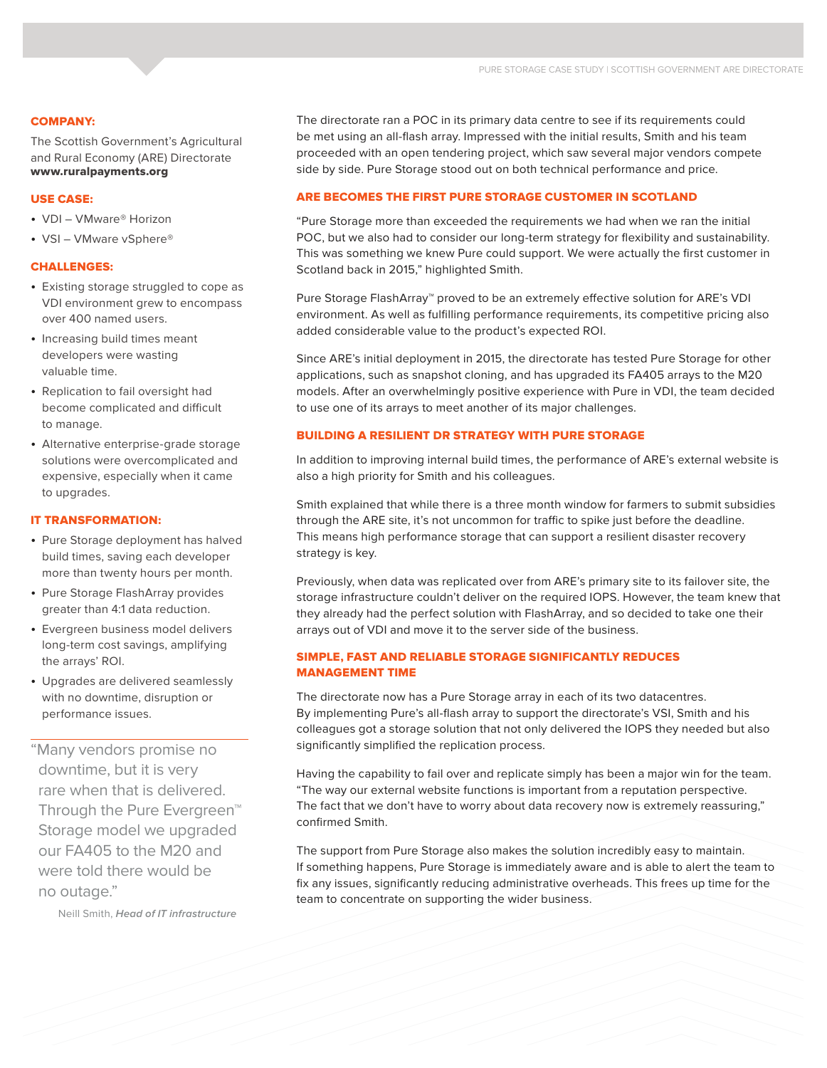### COMPANY:

The Scottish Government's Agricultural and Rural Economy (ARE) Directorate [www.ruralpayments.org](https://www.ruralpayments.org/publicsite/futures/)

### USE CASE:

- VDI VMware® Horizon
- VSI VMware vSphere®

#### CHALLENGES:

- Existing storage struggled to cope as VDI environment grew to encompass over 400 named users.
- Increasing build times meant developers were wasting valuable time.
- • Replication to fail oversight had become complicated and difficult to manage.
- Alternative enterprise-grade storage solutions were overcomplicated and expensive, especially when it came to upgrades.

#### IT TRANSFORMATION:

- Pure Storage deployment has halved build times, saving each developer more than twenty hours per month.
- Pure Storage FlashArray provides greater than 4:1 data reduction.
- Evergreen business model delivers long-term cost savings, amplifying the arrays' ROI.
- • Upgrades are delivered seamlessly with no downtime, disruption or performance issues.

"Many vendors promise no downtime, but it is very rare when that is delivered. Through the Pure Evergreen™ Storage model we upgraded our FA405 to the M20 and were told there would be no outage."

Neill Smith, *Head of IT infrastructure*

The directorate ran a POC in its primary data centre to see if its requirements could be met using an all-flash array. Impressed with the initial results, Smith and his team proceeded with an open tendering project, which saw several major vendors compete side by side. Pure Storage stood out on both technical performance and price.

## ARE BECOMES THE FIRST PURE STORAGE CUSTOMER IN SCOTLAND

"Pure Storage more than exceeded the requirements we had when we ran the initial POC, but we also had to consider our long-term strategy for flexibility and sustainability. This was something we knew Pure could support. We were actually the first customer in Scotland back in 2015," highlighted Smith.

Pure Storage FlashArray™ proved to be an extremely effective solution for ARE's VDI environment. As well as fulfilling performance requirements, its competitive pricing also added considerable value to the product's expected ROI.

Since ARE's initial deployment in 2015, the directorate has tested Pure Storage for other applications, such as snapshot cloning, and has upgraded its FA405 arrays to the M20 models. After an overwhelmingly positive experience with Pure in VDI, the team decided to use one of its arrays to meet another of its major challenges.

### BUILDING A RESILIENT DR STRATEGY WITH PURE STORAGE

In addition to improving internal build times, the performance of ARE's external website is also a high priority for Smith and his colleagues.

Smith explained that while there is a three month window for farmers to submit subsidies through the ARE site, it's not uncommon for traffic to spike just before the deadline. This means high performance storage that can support a resilient disaster recovery strategy is key.

Previously, when data was replicated over from ARE's primary site to its failover site, the storage infrastructure couldn't deliver on the required IOPS. However, the team knew that they already had the perfect solution with FlashArray, and so decided to take one their arrays out of VDI and move it to the server side of the business.

# SIMPLE, FAST AND RELIABLE STORAGE SIGNIFICANTLY REDUCES MANAGEMENT TIME

The directorate now has a Pure Storage array in each of its two datacentres. By implementing Pure's all-flash array to support the directorate's VSI, Smith and his colleagues got a storage solution that not only delivered the IOPS they needed but also significantly simplified the replication process.

Having the capability to fail over and replicate simply has been a major win for the team. "The way our external website functions is important from a reputation perspective. The fact that we don't have to worry about data recovery now is extremely reassuring," confirmed Smith.

The support from Pure Storage also makes the solution incredibly easy to maintain. If something happens, Pure Storage is immediately aware and is able to alert the team to fix any issues, significantly reducing administrative overheads. This frees up time for the team to concentrate on supporting the wider business.